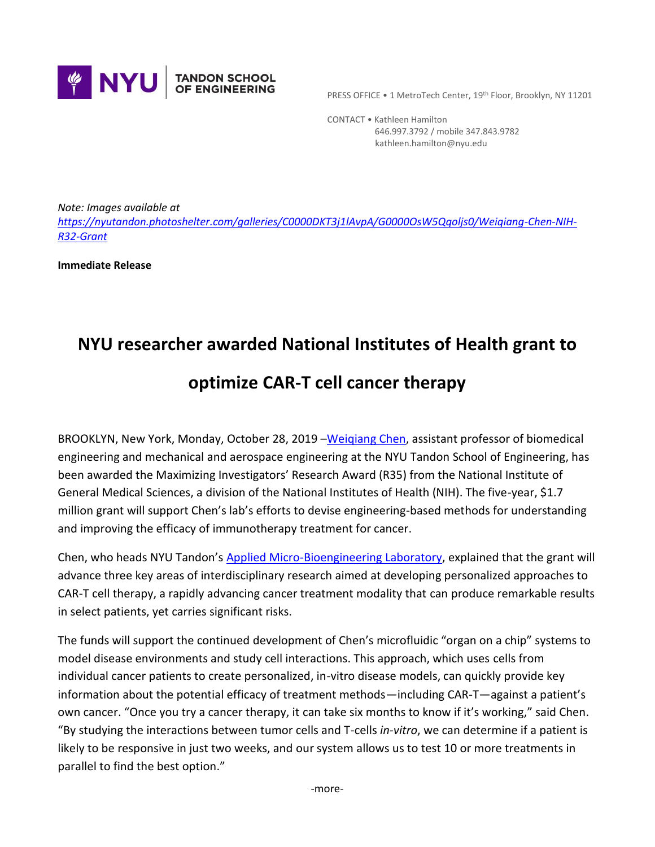

PRESS OFFICE • 1 MetroTech Center, 19th Floor, Brooklyn, NY 11201

 CONTACT • Kathleen Hamilton 646.997.3792 / mobile 347.843.9782 kathleen.hamilton@nyu.edu

*Note: Images available at [https://nyutandon.photoshelter.com/galleries/C0000DKT3j1lAvpA/G0000OsW5Qqoljs0/Weiqiang-Chen-NIH-](https://nyutandon.photoshelter.com/galleries/C0000DKT3j1lAvpA/G0000OsW5Qqoljs0/Weiqiang-Chen-NIH-R32-Grant)[R32-Grant](https://nyutandon.photoshelter.com/galleries/C0000DKT3j1lAvpA/G0000OsW5Qqoljs0/Weiqiang-Chen-NIH-R32-Grant)*

**Immediate Release**

## **NYU researcher awarded National Institutes of Health grant to**

## **optimize CAR-T cell cancer therapy**

BROOKLYN, New York, Monday, October 28, 2019 - Weigiang Chen, assistant professor of biomedical engineering and mechanical and aerospace engineering at the NYU Tandon School of Engineering, has been awarded the Maximizing Investigators' Research Award (R35) from the National Institute of General Medical Sciences, a division of the National Institutes of Health (NIH). The five-year, \$1.7 million grant will support Chen's lab's efforts to devise engineering-based methods for understanding and improving the efficacy of immunotherapy treatment for cancer.

Chen, who heads NYU Tandon's [Applied Micro-Bioengineering Laboratory,](http://engineering.nyu.edu/microbioengineering/) explained that the grant will advance three key areas of interdisciplinary research aimed at developing personalized approaches to CAR-T cell therapy, a rapidly advancing cancer treatment modality that can produce remarkable results in select patients, yet carries significant risks.

The funds will support the continued development of Chen's microfluidic "organ on a chip" systems to model disease environments and study cell interactions. This approach, which uses cells from individual cancer patients to create personalized, in-vitro disease models, can quickly provide key information about the potential efficacy of treatment methods—including CAR-T—against a patient's own cancer. "Once you try a cancer therapy, it can take six months to know if it's working," said Chen. "By studying the interactions between tumor cells and T-cells *in-vitro*, we can determine if a patient is likely to be responsive in just two weeks, and our system allows us to test 10 or more treatments in parallel to find the best option."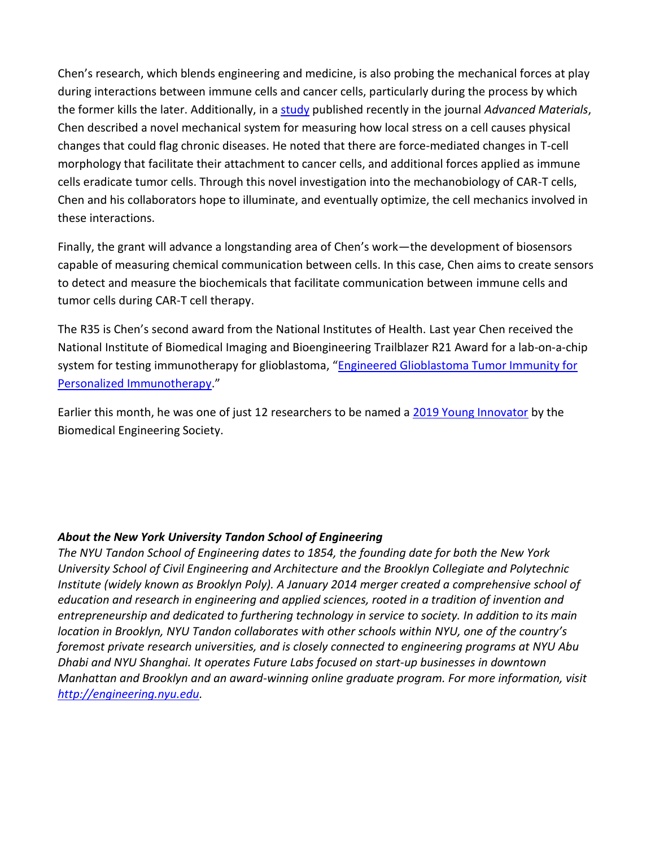Chen's research, which blends engineering and medicine, is also probing the mechanical forces at play during interactions between immune cells and cancer cells, particularly during the process by which the former kills the later. Additionally, in a [study](https://engineering.nyu.edu/news/research-using-mechanics-and-physics-could-predict-diseases-cause-cells-stress) published recently in the journal *Advanced Materials*, Chen described a novel mechanical system for measuring how local stress on a cell causes physical changes that could flag chronic diseases. He noted that there are force-mediated changes in T-cell morphology that facilitate their attachment to cancer cells, and additional forces applied as immune cells eradicate tumor cells. Through this novel investigation into the mechanobiology of CAR-T cells, Chen and his collaborators hope to illuminate, and eventually optimize, the cell mechanics involved in these interactions.

Finally, the grant will advance a longstanding area of Chen's work—the development of biosensors capable of measuring chemical communication between cells. In this case, Chen aims to create sensors to detect and measure the biochemicals that facilitate communication between immune cells and tumor cells during CAR-T cell therapy.

The R35 is Chen's second award from the National Institutes of Health. Last year Chen received the National Institute of Biomedical Imaging and Bioengineering Trailblazer R21 Award for a lab-on-a-chip system for testing immunotherapy for glioblastoma, "[Engineered Glioblastoma Tumor Immunity for](https://projectreporter.nih.gov/project_info_description.cfm?aid=9772458)  [Personalized Immunotherapy.](https://projectreporter.nih.gov/project_info_description.cfm?aid=9772458)"

Earlier this month, he was one of just 12 researchers to be named a [2019 Young Innovator](https://engineering.nyu.edu/news/biomedical-engineering-society-names-weiqiang-chen-2019-young-innovator) by the Biomedical Engineering Society.

## *About the New York University Tandon School of Engineering*

*The NYU Tandon School of Engineering dates to 1854, the founding date for both the New York University School of Civil Engineering and Architecture and the Brooklyn Collegiate and Polytechnic Institute (widely known as Brooklyn Poly). A January 2014 merger created a comprehensive school of education and research in engineering and applied sciences, rooted in a tradition of invention and entrepreneurship and dedicated to furthering technology in service to society. In addition to its main location in Brooklyn, NYU Tandon collaborates with other schools within NYU, one of the country's foremost private research universities, and is closely connected to engineering programs at NYU Abu Dhabi and NYU Shanghai. It operates Future Labs focused on start-up businesses in downtown Manhattan and Brooklyn and an award-winning online graduate program. For more information, visit [http://engineering.nyu.edu.](http://engineering.nyu.edu/)*